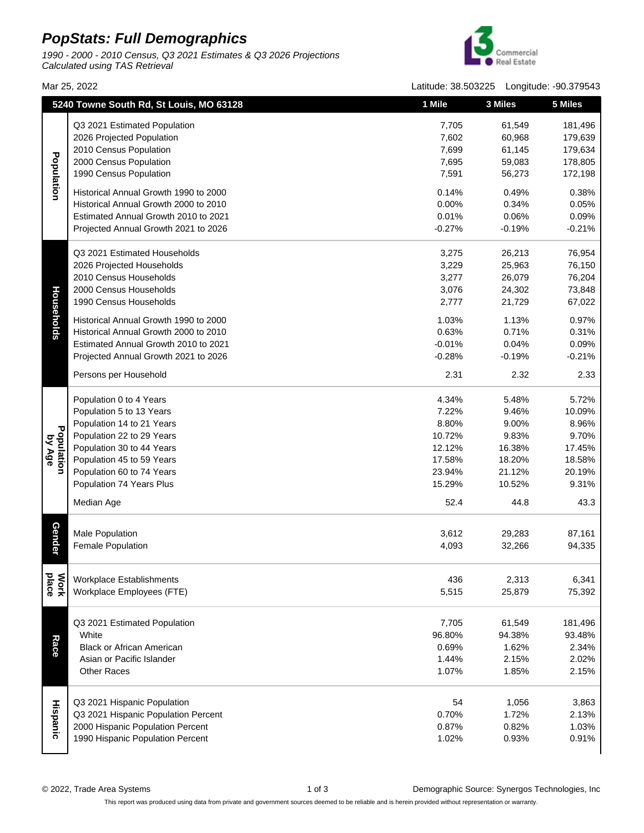## **PopStats: Full Demographics**

1990 - 2000 - 2010 Census, Q3 2021 Estimates & Q3 2026 Projections Calculated using TAS Retrieval



Mar 25, 2022 Latitude: 38.503225 Longitude: -90.379543

|                      | 5240 Towne South Rd, St Louis, MO 63128 |          | 3 Miles  | 5 Miles  |
|----------------------|-----------------------------------------|----------|----------|----------|
|                      | Q3 2021 Estimated Population            | 7,705    | 61,549   | 181,496  |
|                      | 2026 Projected Population               | 7,602    | 60,968   | 179,639  |
|                      | 2010 Census Population                  | 7,699    | 61,145   | 179,634  |
|                      | 2000 Census Population                  | 7,695    | 59,083   | 178,805  |
| Population           | 1990 Census Population                  | 7,591    | 56,273   | 172,198  |
|                      |                                         |          |          |          |
|                      | Historical Annual Growth 1990 to 2000   | 0.14%    | 0.49%    | 0.38%    |
|                      | Historical Annual Growth 2000 to 2010   | 0.00%    | 0.34%    | 0.05%    |
|                      | Estimated Annual Growth 2010 to 2021    | 0.01%    | 0.06%    | 0.09%    |
|                      | Projected Annual Growth 2021 to 2026    | $-0.27%$ | $-0.19%$ | $-0.21%$ |
|                      | Q3 2021 Estimated Households            | 3,275    | 26,213   | 76,954   |
|                      | 2026 Projected Households               | 3,229    | 25,963   | 76,150   |
|                      | 2010 Census Households                  | 3,277    | 26,079   | 76,204   |
|                      | 2000 Census Households                  | 3,076    | 24,302   | 73,848   |
|                      | 1990 Census Households                  | 2,777    | 21,729   | 67,022   |
| Households           | Historical Annual Growth 1990 to 2000   | 1.03%    | 1.13%    | 0.97%    |
|                      | Historical Annual Growth 2000 to 2010   | 0.63%    | 0.71%    | 0.31%    |
|                      | Estimated Annual Growth 2010 to 2021    | $-0.01%$ | 0.04%    | 0.09%    |
|                      | Projected Annual Growth 2021 to 2026    | $-0.28%$ | $-0.19%$ | $-0.21%$ |
|                      |                                         |          |          |          |
|                      | Persons per Household                   | 2.31     | 2.32     | 2.33     |
|                      | Population 0 to 4 Years                 | 4.34%    | 5.48%    | 5.72%    |
|                      | Population 5 to 13 Years                | 7.22%    | 9.46%    | 10.09%   |
|                      | Population 14 to 21 Years               | 8.80%    | 9.00%    | 8.96%    |
|                      | Population 22 to 29 Years               | 10.72%   | 9.83%    | 9.70%    |
| Population<br>by Age | Population 30 to 44 Years               | 12.12%   | 16.38%   | 17.45%   |
|                      | Population 45 to 59 Years               | 17.58%   | 18.20%   | 18.58%   |
|                      | Population 60 to 74 Years               | 23.94%   | 21.12%   | 20.19%   |
|                      | Population 74 Years Plus                | 15.29%   | 10.52%   | 9.31%    |
|                      | Median Age                              | 52.4     | 44.8     | 43.3     |
|                      |                                         |          |          |          |
|                      | <b>Male Population</b>                  | 3,612    | 29,283   | 87,161   |
| <b>Gender</b>        | <b>Female Population</b>                | 4,093    | 32,266   | 94,335   |
|                      |                                         |          |          |          |
| Work<br>Place        | Workplace Establishments                | 436      | 2,313    | 6,341    |
|                      | Workplace Employees (FTE)               | 5,515    | 25,879   | 75,392   |
|                      | Q3 2021 Estimated Population            | 7,705    | 61,549   | 181,496  |
|                      | White                                   | 96.80%   | 94.38%   | 93.48%   |
| Race                 | <b>Black or African American</b>        | 0.69%    | 1.62%    | 2.34%    |
|                      | Asian or Pacific Islander               | 1.44%    | 2.15%    | 2.02%    |
|                      | <b>Other Races</b>                      | 1.07%    | 1.85%    | 2.15%    |
|                      |                                         |          |          |          |
| Hispanic             | Q3 2021 Hispanic Population             | 54       | 1,056    | 3,863    |
|                      | Q3 2021 Hispanic Population Percent     | 0.70%    | 1.72%    | 2.13%    |
|                      | 2000 Hispanic Population Percent        | 0.87%    | 0.82%    | 1.03%    |
|                      | 1990 Hispanic Population Percent        | 1.02%    | 0.93%    | 0.91%    |
|                      |                                         |          |          |          |

This report was produced using data from private and government sources deemed to be reliable and is herein provided without representation or warranty.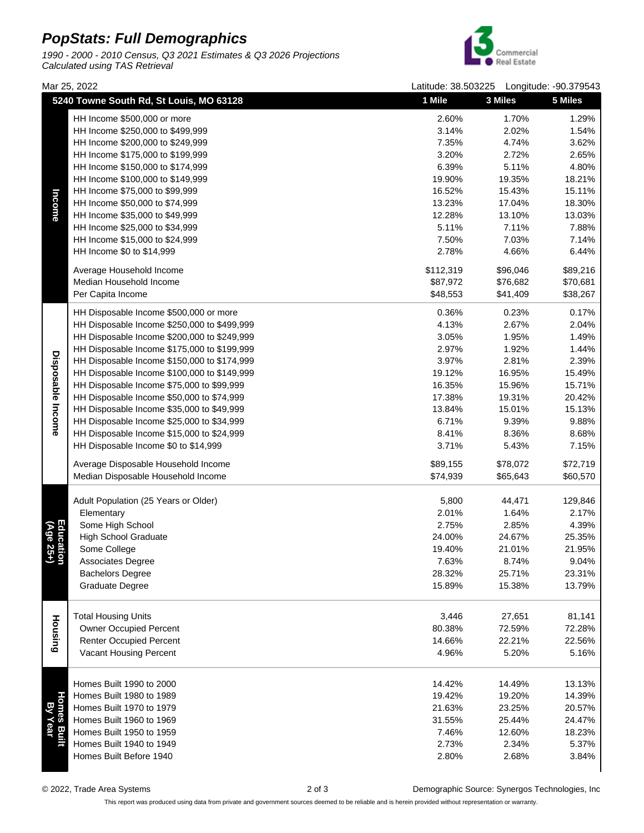## **PopStats: Full Demographics**

1990 - 2000 - 2010 Census, Q3 2021 Estimates & Q3 2026 Projections Calculated using TAS Retrieval



Mar 25, 2022 Latitude: 38.503225 Longitude: -90.379543 **5240 Towne South Rd, St Louis, MO 63128 1 Mile 3 Miles 5 Miles**HH Income \$500,000 or more 2.60% 1.70% 1.29% HH Income \$250,000 to \$499,999 3.14% 2.02% 1.54% 7.35% 4.74% 3.62% HH Income \$200,000 to \$249,999 HH Income \$175,000 to \$199,999 3.20% 2.72% 2.65% HH Income \$150,000 to \$174,999 6.39% 5.11% 4.80% HH Income \$100,000 to \$149,999 19.90% 19.35% 18.21% HH Income \$75,000 to \$99,999 16.52% 15.43% 15.11% Income HH Income \$50,000 to \$74,999 13.23% 17.04% 18.30% HH Income \$35,000 to \$49,999 12.28% 13.10% 13.03% HH Income \$25,000 to \$34,999 5.11% 7.11% 7.88% HH Income \$15,000 to \$24,999 7.50% 7.03% 7.14% HH Income \$0 to \$14,999 2.78% 4.66% 6.44% Average Household Income \$112,319 \$96,046 \$89,216 Median Household Income \$87,972 \$76,682 \$70,681 Per Capita Income \$48,553 \$41,409 \$38,267 HH Disposable Income \$500,000 or more 0.36% 0.23% 0.17% HH Disposable Income \$250,000 to \$499,999 4.13% 2.67% 2.04%

| ncome                  | LILL ILICOLLIG \$1.2'000 TO \$88'888        | 10.52%    | 10.43%   | 15.11%   |
|------------------------|---------------------------------------------|-----------|----------|----------|
|                        | HH Income \$50,000 to \$74,999              | 13.23%    | 17.04%   | 18.30%   |
|                        | HH Income \$35,000 to \$49,999              | 12.28%    | 13.10%   | 13.03%   |
|                        | HH Income \$25,000 to \$34,999              | 5.11%     | 7.11%    | 7.88%    |
|                        | HH Income \$15,000 to \$24,999              | 7.50%     | 7.03%    | 7.14%    |
|                        | HH Income \$0 to \$14,999                   | 2.78%     | 4.66%    | 6.44%    |
|                        | Average Household Income                    | \$112,319 | \$96,046 | \$89,216 |
|                        | Median Household Income                     | \$87,972  | \$76,682 | \$70,681 |
|                        | Per Capita Income                           | \$48,553  | \$41,409 | \$38,267 |
|                        | HH Disposable Income \$500,000 or more      | 0.36%     | 0.23%    | 0.17%    |
|                        | HH Disposable Income \$250,000 to \$499,999 | 4.13%     | 2.67%    | 2.04%    |
| Disposable Income      | HH Disposable Income \$200,000 to \$249,999 | 3.05%     | 1.95%    | 1.49%    |
|                        | HH Disposable Income \$175,000 to \$199,999 | 2.97%     | 1.92%    | 1.44%    |
|                        | HH Disposable Income \$150,000 to \$174,999 | 3.97%     | 2.81%    | 2.39%    |
|                        | HH Disposable Income \$100,000 to \$149,999 | 19.12%    | 16.95%   | 15.49%   |
|                        | HH Disposable Income \$75,000 to \$99,999   | 16.35%    | 15.96%   | 15.71%   |
|                        | HH Disposable Income \$50,000 to \$74,999   | 17.38%    | 19.31%   | 20.42%   |
|                        | HH Disposable Income \$35,000 to \$49,999   | 13.84%    | 15.01%   | 15.13%   |
|                        | HH Disposable Income \$25,000 to \$34,999   | 6.71%     | 9.39%    | 9.88%    |
|                        | HH Disposable Income \$15,000 to \$24,999   | 8.41%     | 8.36%    | 8.68%    |
|                        | HH Disposable Income \$0 to \$14,999        | 3.71%     | 5.43%    | 7.15%    |
|                        | Average Disposable Household Income         | \$89,155  | \$78,072 | \$72,719 |
|                        | Median Disposable Household Income          | \$74,939  | \$65,643 | \$60,570 |
|                        | Adult Population (25 Years or Older)        | 5,800     | 44,471   | 129,846  |
|                        | Elementary                                  | 2.01%     | 1.64%    | 2.17%    |
| Education<br>(Age 25+) | Some High School                            | 2.75%     | 2.85%    | 4.39%    |
|                        | <b>High School Graduate</b>                 | 24.00%    | 24.67%   | 25.35%   |
|                        | Some College                                | 19.40%    | 21.01%   | 21.95%   |
|                        | Associates Degree                           | 7.63%     | 8.74%    | 9.04%    |
|                        | <b>Bachelors Degree</b>                     | 28.32%    | 25.71%   | 23.31%   |
|                        | <b>Graduate Degree</b>                      | 15.89%    | 15.38%   | 13.79%   |
|                        |                                             |           |          |          |
| Housing                | <b>Total Housing Units</b>                  | 3,446     | 27,651   | 81,141   |
|                        | <b>Owner Occupied Percent</b>               | 80.38%    | 72.59%   | 72.28%   |
|                        | <b>Renter Occupied Percent</b>              | 14.66%    | 22.21%   | 22.56%   |
|                        | Vacant Housing Percent                      | 4.96%     | 5.20%    | 5.16%    |
|                        | Homes Built 1990 to 2000                    | 14.42%    | 14.49%   | 13.13%   |
|                        | Homes Built 1980 to 1989                    | 19.42%    | 19.20%   | 14.39%   |
| ЮV                     | Homes Built 1970 to 1979                    | 21.63%    | 23.25%   | 20.57%   |
|                        | Homes Built 1960 to 1969                    | 31.55%    | 25.44%   | 24.47%   |
|                        | Homes Built 1950 to 1959                    | 7.46%     | 12.60%   | 18.23%   |
|                        | Homes Built 1940 to 1949                    | 2.73%     | 2.34%    | 5.37%    |
|                        |                                             |           |          |          |

Homes Built Before 1940

© 2022, Trade Area Systems 2 of 3 Demographic Source: Synergos Technologies, Inc

2.80% 2.68% 3.84%

This report was produced using data from private and government sources deemed to be reliable and is herein provided without representation or warranty.